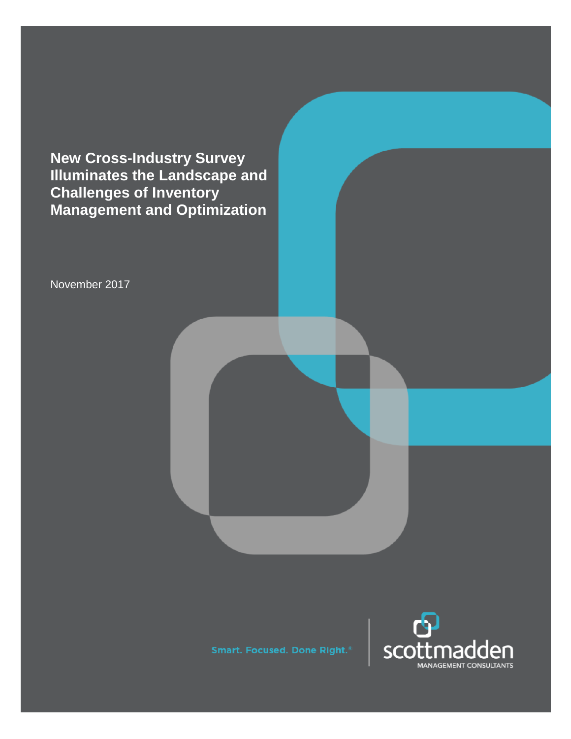**New Cross-Industry Survey Illuminates the Landscape and Challenges of Inventory Management and Optimization**

November 2017



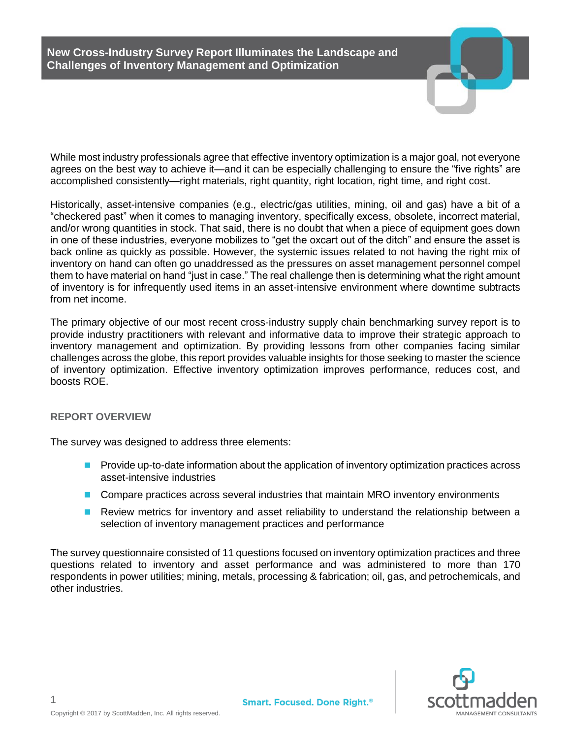While most industry professionals agree that effective inventory optimization is a major goal, not everyone agrees on the best way to achieve it—and it can be especially challenging to ensure the "five rights" are accomplished consistently—right materials, right quantity, right location, right time, and right cost.

Historically, asset-intensive companies (e.g., electric/gas utilities, mining, oil and gas) have a bit of a "checkered past" when it comes to managing inventory, specifically excess, obsolete, incorrect material, and/or wrong quantities in stock. That said, there is no doubt that when a piece of equipment goes down in one of these industries, everyone mobilizes to "get the oxcart out of the ditch" and ensure the asset is back online as quickly as possible. However, the systemic issues related to not having the right mix of inventory on hand can often go unaddressed as the pressures on asset management personnel compel them to have material on hand "just in case." The real challenge then is determining what the right amount of inventory is for infrequently used items in an asset-intensive environment where downtime subtracts from net income.

The primary objective of our most recent cross-industry supply chain benchmarking survey report is to provide industry practitioners with relevant and informative data to improve their strategic approach to inventory management and optimization. By providing lessons from other companies facing similar challenges across the globe, this report provides valuable insights for those seeking to master the science of inventory optimization. Effective inventory optimization improves performance, reduces cost, and boosts ROE.

## **REPORT OVERVIEW**

The survey was designed to address three elements:

- **Provide up-to-date information about the application of inventory optimization practices across** asset-intensive industries
- **Compare practices across several industries that maintain MRO inventory environments**
- **Review metrics for inventory and asset reliability to understand the relationship between a** selection of inventory management practices and performance

The survey questionnaire consisted of 11 questions focused on inventory optimization practices and three questions related to inventory and asset performance and was administered to more than 170 respondents in power utilities; mining, metals, processing & fabrication; oil, gas, and petrochemicals, and other industries.

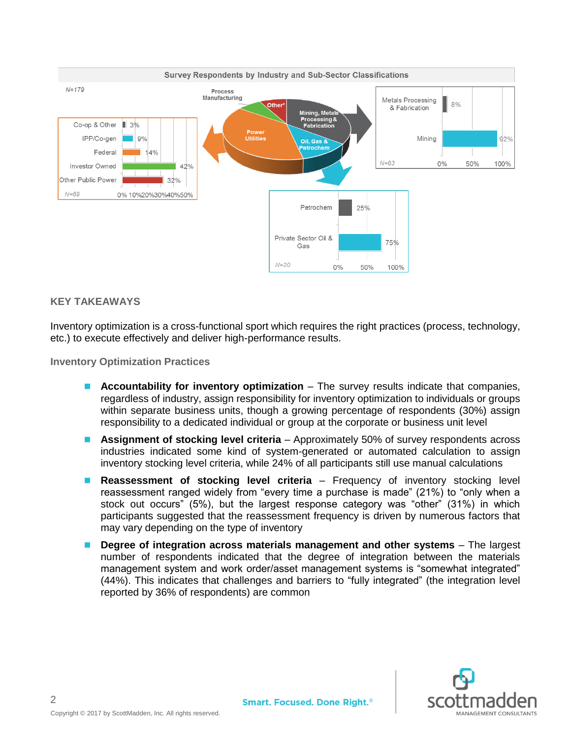

## **KEY TAKEAWAYS**

Inventory optimization is a cross-functional sport which requires the right practices (process, technology, etc.) to execute effectively and deliver high-performance results.

**Inventory Optimization Practices**

- **Accountability for inventory optimization** The survey results indicate that companies, regardless of industry, assign responsibility for inventory optimization to individuals or groups within separate business units, though a growing percentage of respondents (30%) assign responsibility to a dedicated individual or group at the corporate or business unit level
- **Assignment of stocking level criteria** Approximately 50% of survey respondents across industries indicated some kind of system-generated or automated calculation to assign inventory stocking level criteria, while 24% of all participants still use manual calculations
- **Reassessment of stocking level criteria** Frequency of inventory stocking level reassessment ranged widely from "every time a purchase is made" (21%) to "only when a stock out occurs" (5%), but the largest response category was "other" (31%) in which participants suggested that the reassessment frequency is driven by numerous factors that may vary depending on the type of inventory
- **Degree of integration across materials management and other systems** The largest number of respondents indicated that the degree of integration between the materials management system and work order/asset management systems is "somewhat integrated" (44%). This indicates that challenges and barriers to "fully integrated" (the integration level reported by 36% of respondents) are common

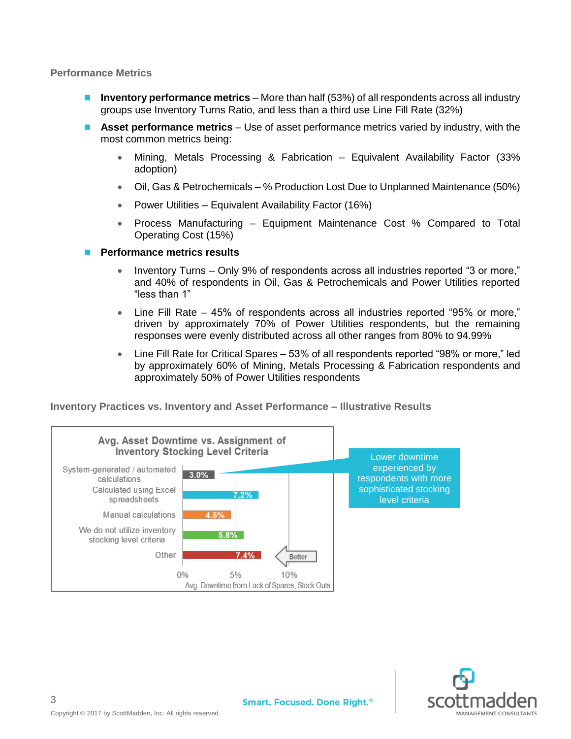#### **Performance Metrics**

- **Inventory performance metrics** More than half (53%) of all respondents across all industry groups use Inventory Turns Ratio, and less than a third use Line Fill Rate (32%)
- **Asset performance metrics** Use of asset performance metrics varied by industry, with the most common metrics being:
	- Mining, Metals Processing & Fabrication Equivalent Availability Factor (33% adoption)
	- Oil, Gas & Petrochemicals % Production Lost Due to Unplanned Maintenance (50%)
	- Power Utilities Equivalent Availability Factor (16%)
	- Process Manufacturing Equipment Maintenance Cost % Compared to Total Operating Cost (15%)
- **Performance metrics results**
	- Inventory Turns Only 9% of respondents across all industries reported "3 or more," and 40% of respondents in Oil, Gas & Petrochemicals and Power Utilities reported "less than 1"
	- Line Fill Rate 45% of respondents across all industries reported "95% or more," driven by approximately 70% of Power Utilities respondents, but the remaining responses were evenly distributed across all other ranges from 80% to 94.99%
	- Line Fill Rate for Critical Spares 53% of all respondents reported "98% or more," led by approximately 60% of Mining, Metals Processing & Fabrication respondents and approximately 50% of Power Utilities respondents

**Inventory Practices vs. Inventory and Asset Performance – Illustrative Results**



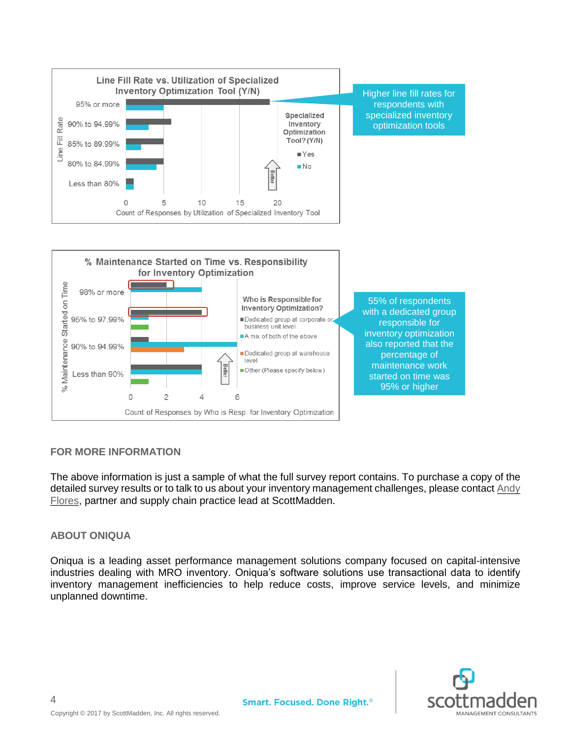

6

Count of Responses by Who is Resp. for Inventory Optimization

started on time was 95% or higher

# **FOR MORE INFORMATION**

 $\circ$ 

 $\overline{2}$ 

 $\overline{4}$ 

The above information is just a sample of what the full survey report contains. To purchase a copy of the detailed survey results or to talk to us about your inventory management challenges, please contact [Andy](mailto:aeflores@scottmadden.com)  [Flores,](mailto:aeflores@scottmadden.com) partner and supply chain practice lead at ScottMadden.

## **ABOUT ONIQUA**

4

Oniqua is a leading asset performance management solutions company focused on capital-intensive industries dealing with MRO inventory. Oniqua's software solutions use transactional data to identify inventory management inefficiencies to help reduce costs, improve service levels, and minimize unplanned downtime.